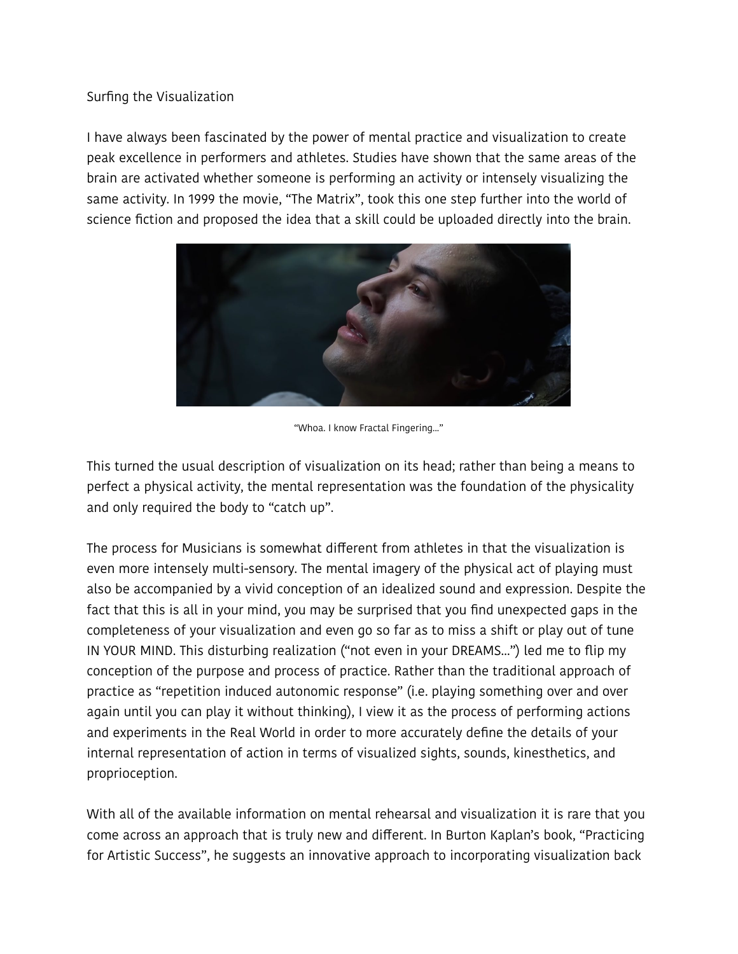## Surfing the Visualization

I have always been fascinated by the power of mental practice and visualization to create peak excellence in performers and athletes. Studies have shown that the same areas of the brain are activated whether someone is performing an activity or intensely visualizing the same activity. In 1999 the movie, "The Matrix", took this one step further into the world of science fiction and proposed the idea that a skill could be uploaded directly into the brain.



"Whoa. I know Fractal Fingering..."

This turned the usual description of visualization on its head; rather than being a means to perfect a physical activity, the mental representation was the foundation of the physicality and only required the body to "catch up".

The process for Musicians is somewhat diferent from athletes in that the visualization is even more intensely multi-sensory. The mental imagery of the physical act of playing must also be accompanied by a vivid conception of an idealized sound and expression. Despite the fact that this is all in your mind, you may be surprised that you find unexpected gaps in the completeness of your visualization and even go so far as to miss a shift or play out of tune IN YOUR MIND. This disturbing realization ("not even in your DREAMS...") led me to flip my conception of the purpose and process of practice. Rather than the traditional approach of practice as "repetition induced autonomic response" (i.e. playing something over and over again until you can play it without thinking), I view it as the process of performing actions and experiments in the Real World in order to more accurately define the details of your internal representation of action in terms of visualized sights, sounds, kinesthetics, and proprioception.

With all of the available information on mental rehearsal and visualization it is rare that you come across an approach that is truly new and diferent. In Burton Kaplan's book, "Practicing for Artistic Success", he suggests an innovative approach to incorporating visualization back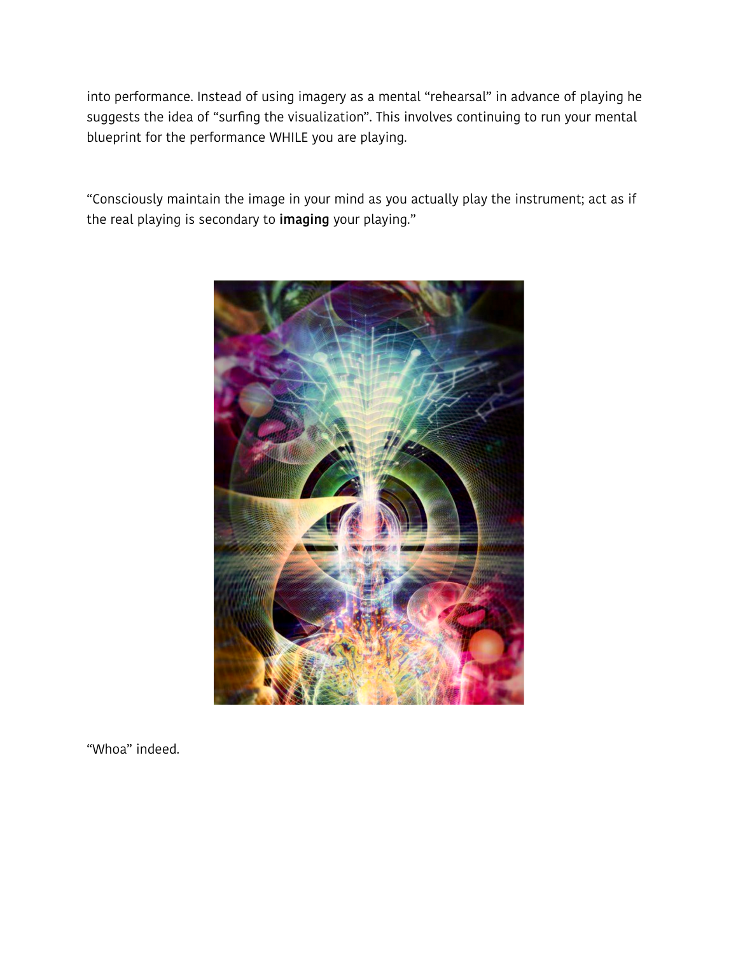into performance. Instead of using imagery as a mental "rehearsal" in advance of playing he suggests the idea of "surfing the visualization". This involves continuing to run your mental blueprint for the performance WHILE you are playing.

"Consciously maintain the image in your mind as you actually play the instrument; act as if the real playing is secondary to **imaging** your playing."



"Whoa" indeed.